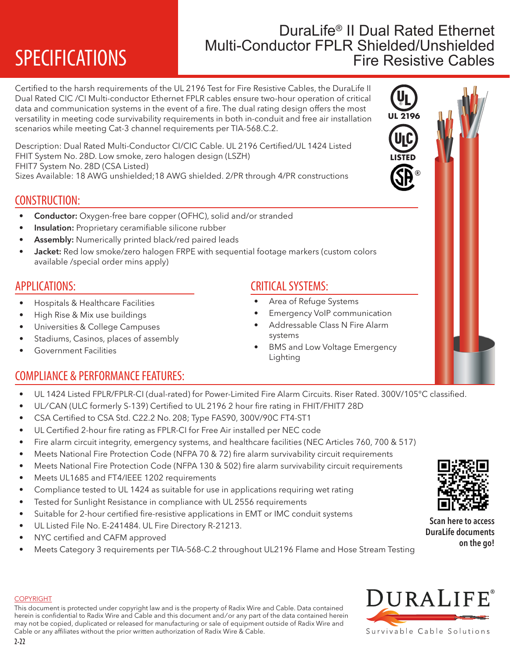# **SPECIFICATIONS**

## DuraLife® II Dual Rated Ethernet Multi-Conductor FPLR Shielded/Unshielded Fire Resistive Cables

**UL 2196**

**LISTED**

®

Certified to the harsh requirements of the UL 2196 Test for Fire Resistive Cables, the DuraLife II Dual Rated CIC /CI Multi-conductor Ethernet FPLR cables ensure two-hour operation of critical data and communication systems in the event of a fire. The dual rating design offers the most versatility in meeting code survivability requirements in both in-conduit and free air installation scenarios while meeting Cat-3 channel requirements per TIA-568.C.2.

Description: Dual Rated Multi-Conductor CI/CIC Cable. UL 2196 Certified/UL 1424 Listed FHIT System No. 28D. Low smoke, zero halogen design (LSZH) FHIT7 System No. 28D (CSA Listed)

Sizes Available: 18 AWG unshielded;18 AWG shielded. 2/PR through 4/PR constructions

### CONSTRUCTION:

- Conductor: Oxygen-free bare copper (OFHC), solid and/or stranded
- Insulation: Proprietary ceramifiable silicone rubber
- Assembly: Numerically printed black/red paired leads
- Jacket: Red low smoke/zero halogen FRPE with sequential footage markers (custom colors available /special order mins apply)

#### APPLICATIONS:

- Hospitals & Healthcare Facilities
- High Rise & Mix use buildings
- Universities & College Campuses
- Stadiums, Casinos, places of assembly
- Government Facilities

## COMPLIANCE & PERFORMANCE FEATURES:

- UL 1424 Listed FPLR/FPLR-CI (dual-rated) for Power-Limited Fire Alarm Circuits. Riser Rated. 300V/105°C classified.
- UL/CAN (ULC formerly S-139) Certified to UL 2196 2 hour fire rating in FHIT/FHIT7 28D
- CSA Certified to CSA Std. C22.2 No. 208; Type FAS90, 300V/90C FT4-ST1
- UL Certified 2-hour fire rating as FPLR-CI for Free Air installed per NEC code
- Fire alarm circuit integrity, emergency systems, and healthcare facilities (NEC Articles 760, 700 & 517)
- Meets National Fire Protection Code (NFPA 70 & 72) fire alarm survivability circuit requirements
- Meets National Fire Protection Code (NFPA 130 & 502) fire alarm survivability circuit requirements
- Meets UL1685 and FT4/IEEE 1202 requirements
- Compliance tested to UL 1424 as suitable for use in applications requiring wet rating
- Tested for Sunlight Resistance in compliance with UL 2556 requirements
- Suitable for 2-hour certified fire-resistive applications in EMT or IMC conduit systems
- UL Listed File No. E-241484. UL Fire Directory R-21213.
- NYC certified and CAFM approved
- Meets Category 3 requirements per TIA-568-C.2 throughout UL2196 Flame and Hose Stream Testing



Scan here to access DuraLife documents on the go!



#### **COPYRIGHT**

This document is protected under copyright law and is the property of Radix Wire and Cable. Data contained herein is confidential to Radix Wire and Cable and this document and / or any part of the data contained herein may not be copied, duplicated or released for manufacturing or sale of equipment outside of Radix Wire and Cable or any affiliates without the prior written authorization of Radix Wire & Cable.

# CRITICAL SYSTEMS:

- Area of Refuge Systems
- Emergency VoIP communication
- Addressable Class N Fire Alarm systems
- BMS and Low Voltage Emergency Lighting
-